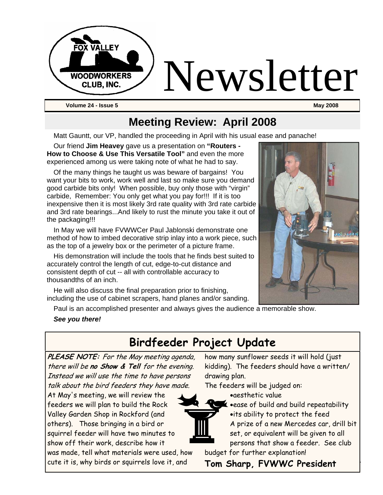

#### **Meeting Review: April 2008**

Matt Gauntt, our VP, handled the proceeding in April with his usual ease and panache!

Our friend **Jim Heavey** gave us a presentation on **"Routers - How to Choose & Use This Versatile Tool"** and even the more experienced among us were taking note of what he had to say.

Of the many things he taught us was beware of bargains! You want your bits to work, work well and last so make sure you demand good carbide bits only! When possible, buy only those with "virgin" carbide, Remember: You only get what you pay for!!! If it is too inexpensive then it is most likely 3rd rate quality with 3rd rate carbide and 3rd rate bearings...And likely to rust the minute you take it out of the packaging!!!

In May we will have FVWWCer Paul Jablonski demonstrate one method of how to imbed decorative strip inlay into a work piece, such as the top of a jewelry box or the perimeter of a picture frame.

His demonstration will include the tools that he finds best suited to accurately control the length of cut, edge-to-cut distance and consistent depth of cut -- all with controllable accuracy to thousandths of an inch.

He will also discuss the final preparation prior to finishing, including the use of cabinet scrapers, hand planes and/or sanding.

Paul is an accomplished presenter and always gives the audience a memorable show.

#### *See you there!*

#### **Birdfeeder Project Update**

**PLEASE NOTE:** For the May meeting agenda, there will be **no Show & Tell** for the evening. Instead we will use the time to have persons talk about the bird feeders they have made.

At May's meeting, we will review the feeders we will plan to build the Rock Valley Garden Shop in Rockford (and others). Those bringing in a bird or squirrel feeder will have two minutes to show off their work, describe how it

was made, tell what materials were used, how cute it is, why birds or squirrels love it, and

how many sunflower seeds it will hold (just kidding). The feeders should have a written/ drawing plan.

The feeders will be judged on:

•aesthetic value



•ease of build and build repeatability •its ability to protect the feed A prize of a new Mercedes car, drill bit set, or equivalent will be given to all persons that show a feeder. See club

budget for further explanation!

ute it is, why birds or squirrels love it, and  **Tom Sharp, FVWWC President**

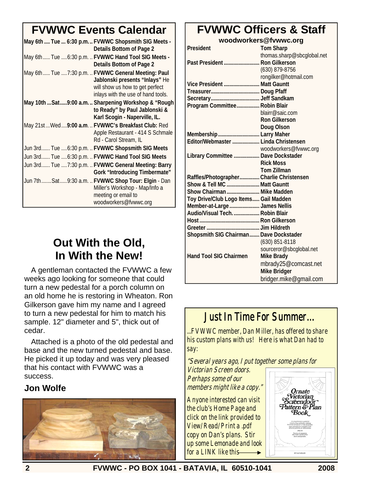## **FVWWC Events Calendar**

| May 6th  Tue  6:30 p.m FVWWC Shopsmith SIG Meets -<br>Details Bottom of Page 2                                                                                 |
|----------------------------------------------------------------------------------------------------------------------------------------------------------------|
| May 6th Tue  6:30 p.m.  FVWWC Hand Tool SIG Meets -<br>Details Bottom of Page 2                                                                                |
| May 6th Tue  7:30 p.m.  FVWWC General Meeting: Paul<br>Jablonski presents "Inlays" He<br>will show us how to get perfect<br>inlays with the use of hand tools. |
| May 10th  Sat  9:00 a.m.  Sharpening Workshop & "Rough<br>to Ready" by Paul Jablonski &<br>Karl Scogin - Naperville, IL.                                       |
| May 21st Wed9:00 a.m.  FVWWC's Breakfast Club: Red<br>Apple Restaurant - 414 S Schmale<br>Rd - Carol Stream, IL                                                |
| Jun 3rd Tue  6:30 p.m.  FVWWC Shopsmith SIG Meets                                                                                                              |
| Jun 3rd Tue  6:30 p.m.  FVWWC Hand Tool SIG Meets                                                                                                              |
| Jun 3rd Tue 7:30 p.m.  FVWWC General Meeting: Barry<br><b>Gork "Introducing Timbermate"</b>                                                                    |
| Jun 7thSat9:30 a.m.  FVWWC Shop Tour: Elgin - Dan<br>Miller's Workshop - Map/Info a<br>meeting or email to<br>woodworkers@fvwwc.org                            |

#### **Out With the Old, In With the New!**

A gentleman contacted the FVWWC a few weeks ago looking for someone that could turn a new pedestal for a porch column on an old home he is restoring in Wheaton. Ron Gilkerson gave him my name and I agreed to turn a new pedestal for him to match his sample. 12" diameter and 5", thick out of cedar.

Attached is a photo of the old pedestal and base and the new turned pedestal and base. He picked it up today and was very pleased that his contact with FVWWC was a success.

#### **Jon Wolfe**



### **FVWWC Officers & Staff**

**woodworkers@fvwwc.org** 

| President                                | <b>Tom Sharp</b>           |
|------------------------------------------|----------------------------|
|                                          | thomas.sharp@sbcglobal.net |
| Past President  Ron Gilkerson            |                            |
|                                          | (630) 879-8756             |
|                                          | rongilker@hotmail.com      |
| Vice President  Matt Gauntt              |                            |
|                                          |                            |
|                                          |                            |
| Program Committee Robin Blair            |                            |
|                                          | blairr@saic.com            |
|                                          | <b>Ron Gilkerson</b>       |
|                                          | Doug Olson                 |
| Membership  Larry Maher                  |                            |
| Editor/Webmaster  Linda Christensen      |                            |
|                                          | woodworkers@fvwwc.org      |
| Library Committee  Dave Dockstader       |                            |
|                                          | <b>Rick Moss</b>           |
|                                          | <b>Tom Zillman</b>         |
| Raffles/Photographer Charlie Christensen |                            |
| Show & Tell MC  Matt Gauntt              |                            |
| Show Chairman  Mike Madden               |                            |
| Toy Drive/Club Logo Items Gail Madden    |                            |
| Member-at-Large  James Nellis            |                            |
| Audio/Visual Tech Robin Blair            |                            |
|                                          |                            |
|                                          |                            |
| Shopsmith SIG Chairman Dave Dockstader   |                            |
|                                          | (630) 851-8118             |
|                                          | sourceror@sbcglobal.net    |
| <b>Hand Tool SIG Chairmen</b>            | <b>Mike Brady</b>          |
|                                          | mbrady25@comcast.net       |
|                                          | <b>Mike Bridger</b>        |
|                                          | bridger.mike@gmail.com     |

#### Just In Time For Summer…

...FVWWC member, Dan Miller, has offered to share his custom plans with us! Here is what Dan had to say:

"Several years ago, I put together some plans for Victorian Screen doors. Perhaps some of our members might like a copy."

Anyone interested can visit the club's Home Page and click on the link provided to View/Read/Print a .pdf copy on Dan's plans. Stir up some Lemonade and look for a LINK like this-



**2 FVWWC - PO BOX 1041 - BATAVIA, IL 60510-1041 2008**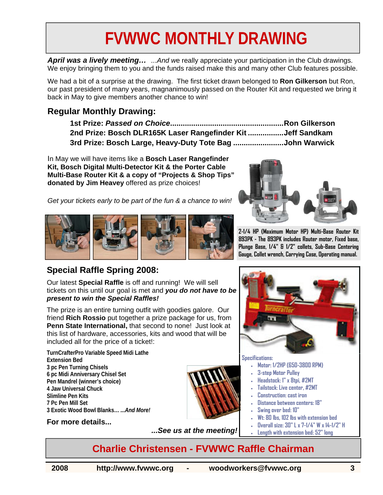## **FVWWC MONTHLY DRAWING**

*April was a lively meeting… ...And w*e really appreciate your participation in the Club drawings. We enjoy bringing them to you and the funds raised make this and many other Club features possible.

We had a bit of a surprise at the drawing. The first ticket drawn belonged to **Ron Gilkerson** but Ron, our past president of many years, magnanimously passed on the Router Kit and requested we bring it back in May to give members another chance to win!

#### **Regular Monthly Drawing:**

**1st Prize:** *Passed on Choice***......................................................Ron Gilkerson 2nd Prize: Bosch DLR165K Laser Rangefinder Kit .................Jeff Sandkam 3rd Prize: Bosch Large, Heavy-Duty Tote Bag ........................John Warwick** 

In May we will have items like a **Bosch Laser Rangefinder Kit, Bosch Digital Multi-Detector Kit & the Porter Cable Multi-Base Router Kit & a copy of "Projects & Shop Tips" donated by Jim Heavey** offered as prize choices!





#### **Special Raffle Spring 2008:**

Our latest **Special Raffle** is off and running! We will sell tickets on this until our goal is met and *you do not have to be present to win the Special Raffles!* 

The prize is an entire turning outfit with goodies galore. Our friend **Rich Rossio** put together a prize package for us, from **Penn State International,** that second to none! Just look at this list of hardware, accessories, kits and wood that will be included all for the price of a ticket!:

**TurnCrafterPro Variable Speed Midi Lathe Extension Bed 3 pc Pen Turning Chisels 6 pc Midi Anniversary Chisel Set Pen Mandrel (winner's choice) 4 Jaw Universal Chuck Slimline Pen Kits 7 Pc Pen Mill Set 3 Exotic Wood Bowl Blanks…** *...And More!* 

#### **For more details...**



*...See us at the meeting!* 



**2-1/4 HP (Maximum Motor HP) Multi-Base Router Kit 893PK - The 893PK includes Router motor, Fixed base, Plunge Base, 1/4" & 1/2" collets, Sub-Base Centering Gauge, Collet wrench, Carrying Case, Operating manual.** 



#### **Specifications:**

- **Motor: 1/2HP (650-3800 RPM)**
- **3-step Motor Pulley**
- **Headstock: 1" x 8tpi, #2MT**
- **Tailstock: Live center, #2MT**
- **Construction: cast iron**
- **Distance between centers: 18"**
- **Swing over bed: 10"**
- **Wt: 80 lbs, 102 lbs with extension bed**
- **Overall size: 30" L x 7-1/4" W x 14-1/2" H**
- **Length with extension bed: 52" long**

#### **Charlie Christensen - FVWWC Raffle Chairman**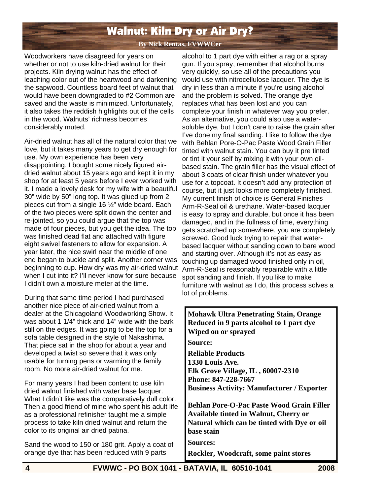### Walnut: Kiln Dry or Air Dry?

**By Nick Rentas, FVWWCer**

Woodworkers have disagreed for years on whether or not to use kiln-dried walnut for their projects. Kiln drying walnut has the effect of leaching color out of the heartwood and darkening the sapwood. Countless board feet of walnut that would have been downgraded to #2 Common are saved and the waste is minimized. Unfortunately, it also takes the reddish highlights out of the cells in the wood. Walnuts' richness becomes considerably muted.

Air-dried walnut has all of the natural color that we love, but it takes many years to get dry enough for use. My own experience has been very disappointing. I bought some nicely figured airdried walnut about 15 years ago and kept it in my shop for at least 5 years before I ever worked with it. I made a lovely desk for my wife with a beautiful 30" wide by 50" long top. It was glued up from 2 pieces cut from a single 16 ½" wide board. Each of the two pieces were split down the center and re-jointed, so you could argue that the top was made of four pieces, but you get the idea. The top was finished dead flat and attached with figure eight swivel fasteners to allow for expansion. A year later, the nice swirl near the middle of one end began to buckle and split. Another corner was beginning to cup. How dry was my air-dried walnut when I cut into it? I'll never know for sure because I didn't own a moisture meter at the time.

During that same time period I had purchased another nice piece of air-dried walnut from a dealer at the Chicagoland Woodworking Show. It was about 1 1/4" thick and 14" wide with the bark still on the edges. It was going to be the top for a sofa table designed in the style of Nakashima. That piece sat in the shop for about a year and developed a twist so severe that it was only usable for turning pens or warming the family room. No more air-dried walnut for me.

For many years I had been content to use kiln dried walnut finished with water base lacquer. What I didn't like was the comparatively dull color. Then a good friend of mine who spent his adult life as a professional refinisher taught me a simple process to take kiln dried walnut and return the color to its original air dried patina.

Sand the wood to 150 or 180 grit. Apply a coat of orange dye that has been reduced with 9 parts

alcohol to 1 part dye with either a rag or a spray gun. If you spray, remember that alcohol burns very quickly, so use all of the precautions you would use with nitrocellulose lacquer. The dye is dry in less than a minute if you're using alcohol and the problem is solved. The orange dye replaces what has been lost and you can complete your finish in whatever way you prefer. As an alternative, you could also use a watersoluble dye, but I don't care to raise the grain after I've done my final sanding. I like to follow the dye with Behlan Pore-O-Pac Paste Wood Grain Filler tinted with walnut stain. You can buy it pre tinted or tint it your self by mixing it with your own oilbased stain. The grain filler has the visual effect of about 3 coats of clear finish under whatever you use for a topcoat. It doesn't add any protection of course, but it just looks more completely finished. My current finish of choice is General Finishes Arm-R-Seal oil & urethane. Water-based lacquer is easy to spray and durable, but once it has been damaged, and in the fullness of time, everything gets scratched up somewhere, you are completely screwed. Good luck trying to repair that waterbased lacquer without sanding down to bare wood and starting over. Although it's not as easy as touching up damaged wood finished only in oil, Arm-R-Seal is reasonably repairable with a little spot sanding and finish. If you like to make furniture with walnut as I do, this process solves a lot of problems.

**Mohawk Ultra Penetrating Stain, Orange Reduced in 9 parts alcohol to 1 part dye Wiped on or sprayed Source: Reliable Products 1330 Louis Ave. Elk Grove Village, IL , 60007-2310 Phone: 847-228-7667 Business Activity: Manufacturer / Exporter Behlan Pore-O-Pac Paste Wood Grain Filler Available tinted in Walnut, Cherry or Natural which can be tinted with Dye or oil base stain Sources: Rockler, Woodcraft, some paint stores**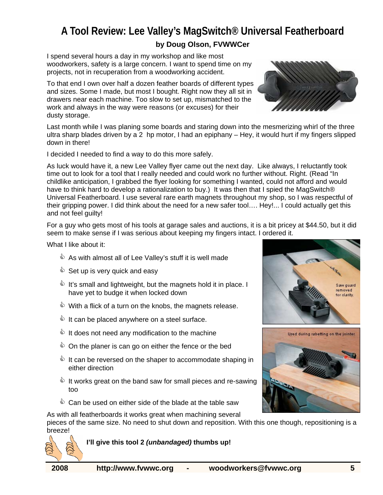#### **A Tool Review: Lee Valley's MagSwitch® Universal Featherboard by Doug Olson, FVWWCer**

I spend several hours a day in my workshop and like most woodworkers, safety is a large concern. I want to spend time on my projects, not in recuperation from a woodworking accident.

To that end I own over half a dozen feather boards of different types and sizes. Some I made, but most I bought. Right now they all sit in drawers near each machine. Too slow to set up, mismatched to the work and always in the way were reasons (or excuses) for their dusty storage.

Last month while I was planing some boards and staring down into the mesmerizing whirl of the three ultra sharp blades driven by a 2 hp motor, I had an epiphany – Hey, it would hurt if my fingers slipped down in there!

I decided I needed to find a way to do this more safely.

As luck would have it, a new Lee Valley flyer came out the next day. Like always, I reluctantly took time out to look for a tool that I really needed and could work no further without. Right. (Read "In childlike anticipation, I grabbed the flyer looking for something I wanted, could not afford and would have to think hard to develop a rationalization to buy.) It was then that I spied the MagSwitch® Universal Featherboard. I use several rare earth magnets throughout my shop, so I was respectful of their gripping power. I did think about the need for a new safer tool…. Hey!... I could actually get this and not feel guilty!

For a guy who gets most of his tools at garage sales and auctions, it is a bit pricey at \$44.50, but it did seem to make sense if I was serious about keeping my fingers intact. I ordered it.

What I like about it:

- $\mathbf{\hat{a}}$  As with almost all of Lee Valley's stuff it is well made
- $\mathbf{\hat{E}}$  Set up is very quick and easy
- **U** It's small and lightweight, but the magnets hold it in place. I have yet to budge it when locked down
- $\mathbb{\hat{D}}$  With a flick of a turn on the knobs, the magnets release.
- **& It can be placed anywhere on a steel surface.**
- **& It does not need any modification to the machine**
- $\Diamond$  On the planer is can go on either the fence or the bed
- $\Diamond$  It can be reversed on the shaper to accommodate shaping in either direction
- **U** It works great on the band saw for small pieces and re-sawing too
- $\hat{\mathbb{Q}}$  Can be used on either side of the blade at the table saw

As with all featherboards it works great when machining several

pieces of the same size. No need to shut down and reposition. With this one though, repositioning is a breeze!



 **I'll give this tool 2** *(unbandaged)* **thumbs up!** 





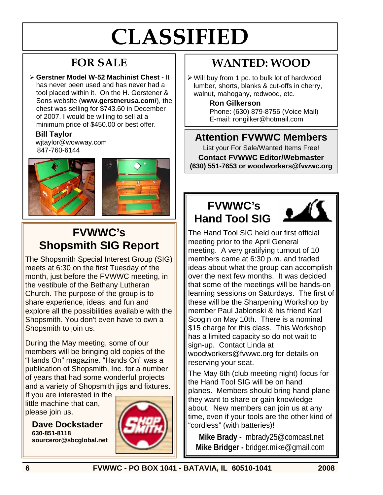# **CLASSIFIED**

## **FOR SALE**

¾ **Gerstner Model W-52 Machinist Chest -** It has never been used and has never had a tool placed within it. On the H. Gerstener & Sons website (**www.gerstnerusa.com/**), the chest was selling for \$743.60 in December of 2007. I would be willing to sell at a minimum price of \$450.00 or best offer.

#### **Bill Taylor**

wjtaylor@wowway.com 847-760-6144



## **FVWWC's Shopsmith SIG Report**

The Shopsmith Special Interest Group (SIG) meets at 6:30 on the first Tuesday of the month, just before the FVWWC meeting, in the vestibule of the Bethany Lutheran Church. The purpose of the group is to share experience, ideas, and fun and explore all the possibilities available with the Shopsmith. You don't even have to own a Shopsmith to join us.

During the May meeting, some of our members will be bringing old copies of the "Hands On" magazine. "Hands On" was a publication of Shopsmith, Inc. for a number of years that had some wonderful projects and a variety of Shopsmith jigs and fixtures.

If you are interested in the little machine that can, please join us.

**Dave Dockstader 630-851-8118 sourceror@sbcglobal.net**



## **WANTED: WOOD**

¾ Will buy from 1 pc. to bulk lot of hardwood lumber, shorts, blanks & cut-offs in cherry, walnut, mahogany, redwood, etc.

**Ron Gilkerson**

Phone: (630) 879-8756 (Voice Mail) E-mail: rongilker@hotmail.com

#### **Attention FVWWC Members**

List your For Sale/Wanted Items Free! **Contact FVWWC Editor/Webmaster (630) 551-7653 or woodworkers@fvwwc.org** 

## **FVWWC's Hand Tool SIG**



The Hand Tool SIG held our first official meeting prior to the April General meeting. A very gratifying turnout of 10 members came at 6:30 p.m. and traded ideas about what the group can accomplish over the next few months. It was decided that some of the meetings will be hands-on learning sessions on Saturdays. The first of these will be the Sharpening Workshop by member Paul Jablonski & his friend Karl Scogin on May 10th. There is a nominal \$15 charge for this class. This Workshop has a limited capacity so do not wait to sign-up. Contact Linda at woodworkers@fvwwc.org for details on reserving your seat.

The May 6th (club meeting night) focus for the Hand Tool SIG will be on hand planes. Members should bring hand plane they want to share or gain knowledge about. New members can join us at any time, even if your tools are the other kind of "cordless" (with batteries)!

**Mike Brady -** mbrady25@comcast.net **Mike Bridger -** bridger.mike@gmail.com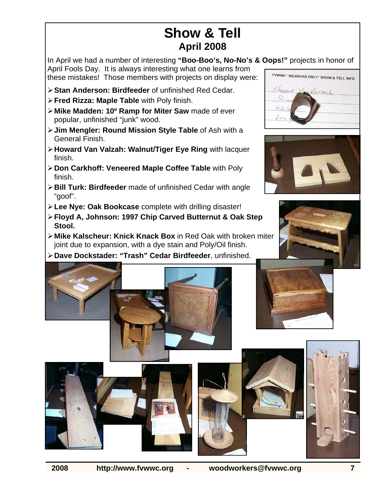## **Show & Tell April 2008**

In April we had a number of interesting **"Boo-Boo's, No-No's & Oops!"** projects in honor of April Fools Day. It is always interesting what one learns from these mistakes! Those members with projects on display were:

- ¾ **Stan Anderson: Birdfeeder** of unfinished Red Cedar.
- ¾ **Fred Rizza: Maple Table** with Poly finish.
- ¾ **Mike Madden: 10º Ramp for Miter Saw** made of ever popular, unfinished "junk" wood.
- ¾ **Jim Mengler: Round Mission Style Table** of Ash with a General Finish.
- ¾ **Howard Van Valzah: Walnut/Tiger Eye Ring** with lacquer finish.
- ¾ **Don Carkhoff: Veneered Maple Coffee Table** with Poly finish.
- ¾ **Bill Turk: Birdfeeder** made of unfinished Cedar with angle "goof".
- ¾ **Lee Nye: Oak Bookcase** complete with drilling disaster!
- ¾ **Floyd A, Johnson: 1997 Chip Carved Butternut & Oak Step Stool.**
- ¾ **Mike Kalscheur: Knick Knack Box** in Red Oak with broken miter joint due to expansion, with a dye stain and Poly/Oil finish.
- ¾ **Dave Dockstader: "Trash" Cedar Birdfeeder**, unfinished.